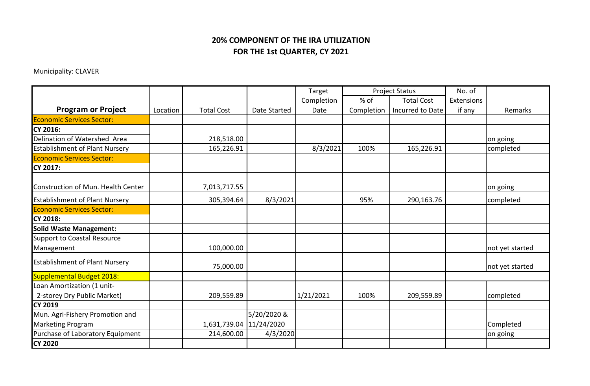## **20% COMPONENT OF THE IRA UTILIZATION FOR THE 1st QUARTER, CY 2021**

Municipality: CLAVER

|                                       |          |                         |              | Target     | <b>Project Status</b> |                   | No. of     |                 |
|---------------------------------------|----------|-------------------------|--------------|------------|-----------------------|-------------------|------------|-----------------|
|                                       |          |                         |              | Completion | % of                  | <b>Total Cost</b> | Extensions |                 |
| <b>Program or Project</b>             | Location | <b>Total Cost</b>       | Date Started | Date       | Completion            | Incurred to Date  | if any     | Remarks         |
| <b>Economic Services Sector:</b>      |          |                         |              |            |                       |                   |            |                 |
| CY 2016:                              |          |                         |              |            |                       |                   |            |                 |
| Delination of Watershed Area          |          | 218,518.00              |              |            |                       |                   |            | on going        |
| <b>Establishment of Plant Nursery</b> |          | 165,226.91              |              | 8/3/2021   | 100%                  | 165,226.91        |            | completed       |
| <b>Economic Services Sector:</b>      |          |                         |              |            |                       |                   |            |                 |
| CY 2017:                              |          |                         |              |            |                       |                   |            |                 |
|                                       |          |                         |              |            |                       |                   |            |                 |
| Construction of Mun. Health Center    |          | 7,013,717.55            |              |            |                       |                   |            | on going        |
| <b>Establishment of Plant Nursery</b> |          | 305,394.64              | 8/3/2021     |            | 95%                   | 290,163.76        |            | completed       |
| <b>Economic Services Sector:</b>      |          |                         |              |            |                       |                   |            |                 |
| <b>CY 2018:</b>                       |          |                         |              |            |                       |                   |            |                 |
| <b>Solid Waste Management:</b>        |          |                         |              |            |                       |                   |            |                 |
| <b>Support to Coastal Resource</b>    |          |                         |              |            |                       |                   |            |                 |
| Management                            |          | 100,000.00              |              |            |                       |                   |            | not yet started |
| <b>Establishment of Plant Nursery</b> |          | 75,000.00               |              |            |                       |                   |            | not yet started |
| <b>Supplemental Budget 2018:</b>      |          |                         |              |            |                       |                   |            |                 |
| Loan Amortization (1 unit-            |          |                         |              |            |                       |                   |            |                 |
| 2-storey Dry Public Market)           |          | 209,559.89              |              | 1/21/2021  | 100%                  | 209,559.89        |            | completed       |
| <b>CY 2019</b>                        |          |                         |              |            |                       |                   |            |                 |
| Mun. Agri-Fishery Promotion and       |          |                         | 5/20/2020 &  |            |                       |                   |            |                 |
| <b>Marketing Program</b>              |          | 1,631,739.04 11/24/2020 |              |            |                       |                   |            | Completed       |
| Purchase of Laboratory Equipment      |          | 214,600.00              | 4/3/2020     |            |                       |                   |            | on going        |
| <b>CY 2020</b>                        |          |                         |              |            |                       |                   |            |                 |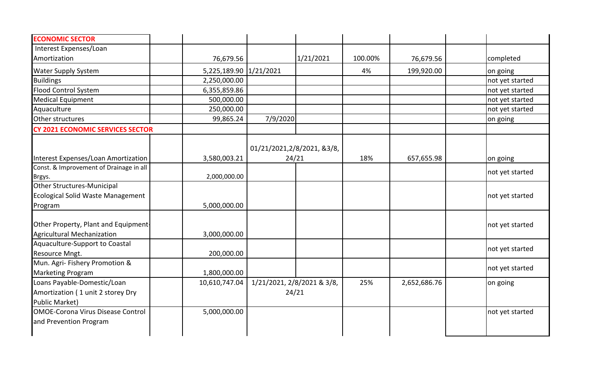| <b>ECONOMIC SECTOR</b>                   |                        |                            |           |         |              |                 |
|------------------------------------------|------------------------|----------------------------|-----------|---------|--------------|-----------------|
| Interest Expenses/Loan                   |                        |                            |           |         |              |                 |
| Amortization                             | 76,679.56              |                            | 1/21/2021 | 100.00% | 76,679.56    | completed       |
| <b>Water Supply System</b>               | 5,225,189.90 1/21/2021 |                            |           | 4%      | 199,920.00   | on going        |
| <b>Buildings</b>                         | 2,250,000.00           |                            |           |         |              | not yet started |
| <b>Flood Control System</b>              | 6,355,859.86           |                            |           |         |              | not yet started |
| <b>Medical Equipment</b>                 | 500,000.00             |                            |           |         |              | not yet started |
| Aquaculture                              | 250,000.00             |                            |           |         |              | not yet started |
| Other structures                         | 99,865.24              | 7/9/2020                   |           |         |              | on going        |
| <b>CY 2021 ECONOMIC SERVICES SECTOR</b>  |                        |                            |           |         |              |                 |
|                                          |                        | 01/21/2021,2/8/2021, &3/8, |           |         |              |                 |
| Interest Expenses/Loan Amortization      | 3,580,003.21           | 24/21                      |           | 18%     | 657,655.98   | on going        |
| Const. & Improvement of Drainage in all  |                        |                            |           |         |              |                 |
| Brgys.                                   | 2,000,000.00           |                            |           |         |              | not yet started |
| Other Structures-Municipal               |                        |                            |           |         |              |                 |
| Ecological Solid Waste Management        |                        |                            |           |         |              | not yet started |
| Program                                  | 5,000,000.00           |                            |           |         |              |                 |
| Other Property, Plant and Equipment-     |                        |                            |           |         |              | not yet started |
| <b>Agricultural Mechanization</b>        | 3,000,000.00           |                            |           |         |              |                 |
| Aquaculture-Support to Coastal           |                        |                            |           |         |              |                 |
| Resource Mngt.                           | 200,000.00             |                            |           |         |              | not yet started |
| Mun. Agri- Fishery Promotion &           |                        |                            |           |         |              |                 |
| <b>Marketing Program</b>                 | 1,800,000.00           |                            |           |         |              | not yet started |
| Loans Payable-Domestic/Loan              | 10,610,747.04          | 1/21/2021, 2/8/2021 & 3/8, |           | 25%     | 2,652,686.76 | on going        |
| Amortization (1 unit 2 storey Dry        |                        | 24/21                      |           |         |              |                 |
| <b>Public Market)</b>                    |                        |                            |           |         |              |                 |
| <b>OMOE-Corona Virus Disease Control</b> | 5,000,000.00           |                            |           |         |              | not yet started |
|                                          |                        |                            |           |         |              |                 |